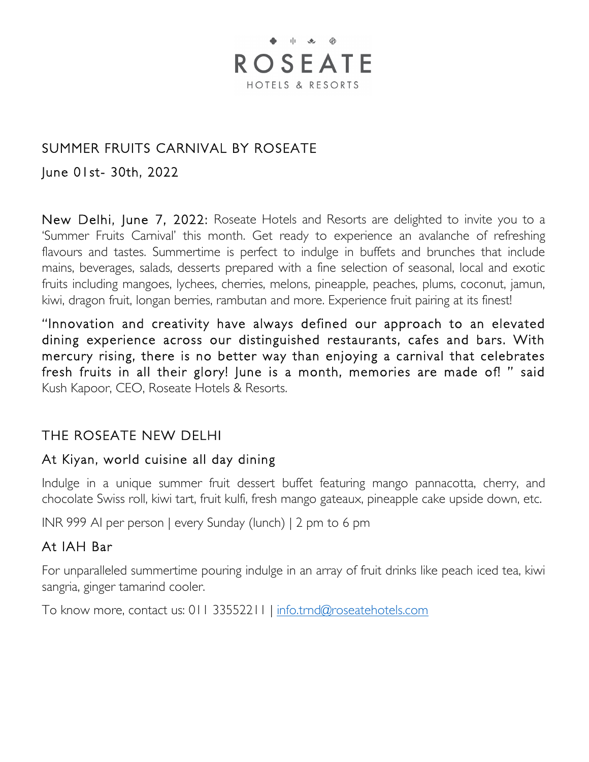# $\bullet$   $\parallel$   $\bullet$   $\oplus$ **ROSEATE** HOTELS & RESORTS

### SUMMER FRUITS CARNIVAL BY ROSEATE

June 01st- 30th, 2022

New Delhi, June 7, 2022: Roseate Hotels and Resorts are delighted to invite you to a 'Summer Fruits Carnival' this month. Get ready to experience an avalanche of refreshing flavours and tastes. Summertime is perfect to indulge in buffets and brunches that include mains, beverages, salads, desserts prepared with a fine selection of seasonal, local and exotic fruits including mangoes, lychees, cherries, melons, pineapple, peaches, plums, coconut, jamun, kiwi, dragon fruit, longan berries, rambutan and more. Experience fruit pairing at its finest!

"Innovation and creativity have always defined our approach to an elevated dining experience across our distinguished restaurants, cafes and bars. With mercury rising, there is no better way than enjoying a carnival that celebrates fresh fruits in all their glory! June is a month, memories are made of! " said Kush Kapoor, CEO, Roseate Hotels & Resorts.

### THE ROSEATE NEW DELHI

#### At Kiyan, world cuisine all day dining

Indulge in a unique summer fruit dessert buffet featuring mango pannacotta, cherry, and chocolate Swiss roll, kiwi tart, fruit kulfi, fresh mango gateaux, pineapple cake upside down, etc.

INR 999 AI per person | every Sunday (lunch) | 2 pm to 6 pm

#### At IAH Bar

For unparalleled summertime pouring indulge in an array of fruit drinks like peach iced tea, kiwi sangria, ginger tamarind cooler.

To know more, contact us: 011 33552211 | info.trnd@roseatehotels.com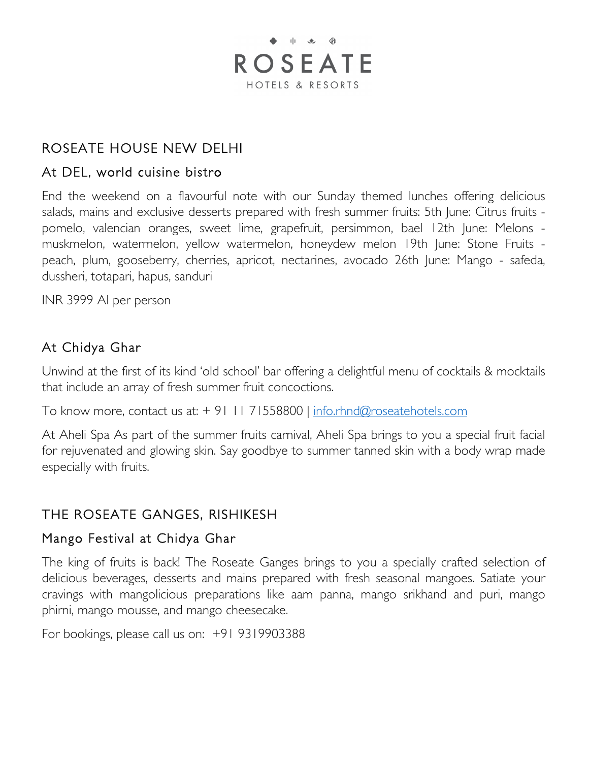

### ROSEATE HOUSE NEW DELHI

#### At DEL, world cuisine bistro

End the weekend on a flavourful note with our Sunday themed lunches offering delicious salads, mains and exclusive desserts prepared with fresh summer fruits: 5th June: Citrus fruits pomelo, valencian oranges, sweet lime, grapefruit, persimmon, bael 12th June: Melons muskmelon, watermelon, yellow watermelon, honeydew melon 19th June: Stone Fruits peach, plum, gooseberry, cherries, apricot, nectarines, avocado 26th June: Mango - safeda, dussheri, totapari, hapus, sanduri

INR 3999 AI per person

#### At Chidya Ghar

Unwind at the first of its kind 'old school' bar offering a delightful menu of cocktails & mocktails that include an array of fresh summer fruit concoctions.

To know more, contact us at: + 91 11 71558800 | info.rhnd@roseatehotels.com

At Aheli Spa As part of the summer fruits carnival, Aheli Spa brings to you a special fruit facial for rejuvenated and glowing skin. Say goodbye to summer tanned skin with a body wrap made especially with fruits.

#### THE ROSEATE GANGES, RISHIKESH

#### Mango Festival at Chidya Ghar

The king of fruits is back! The Roseate Ganges brings to you a specially crafted selection of delicious beverages, desserts and mains prepared with fresh seasonal mangoes. Satiate your cravings with mangolicious preparations like aam panna, mango srikhand and puri, mango phirni, mango mousse, and mango cheesecake.

For bookings, please call us on: +91 9319903388